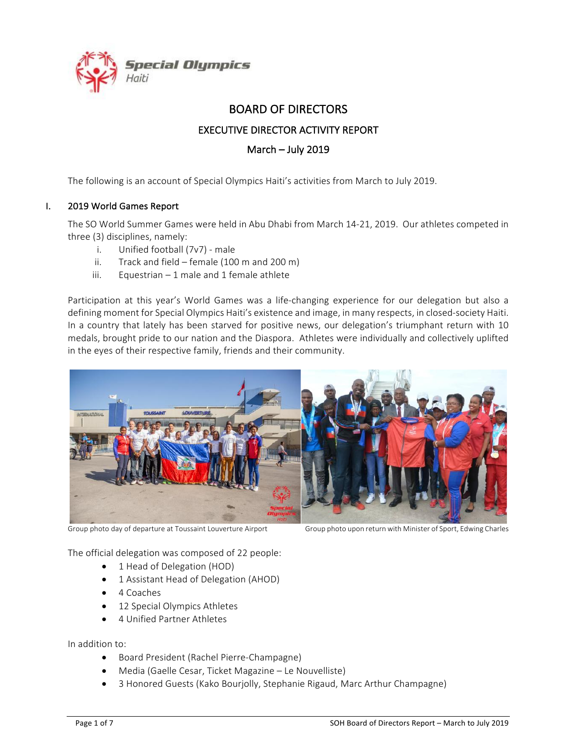

# BOARD OF DIRECTORS

## **EXECUTIVE DIRECTOR ACTIVITY REPORT**

## March – July 2019

The following is an account of Special Olympics Haiti's activities from March to July 2019.

### I. 2019 World Games Report

The SO World Summer Games were held in Abu Dhabi from March 14-21, 2019. Our athletes competed in three (3) disciplines, namely:

- i. Unified football  $(7v7)$  male
- ii. Track and field female  $(100 \text{ m and } 200 \text{ m})$
- iii. Equestrian  $-1$  male and 1 female athlete

Participation at this year's World Games was a life-changing experience for our delegation but also a defining moment for Special Olympics Haiti's existence and image, in many respects, in closed-society Haiti. In a country that lately has been starved for positive news, our delegation's triumphant return with 10 medals, brought pride to our nation and the Diaspora. Athletes were individually and collectively uplifted in the eyes of their respective family, friends and their community.



Group photo day of departure at Toussaint Louverture Airport Group photo upon return with Minister of Sport, Edwing Charles

The official delegation was composed of 22 people:

- 1 Head of Delegation (HOD)
- 1 Assistant Head of Delegation (AHOD)
- 4 Coaches
- 12 Special Olympics Athletes
- 4 Unified Partner Athletes

In addition to:

- Board President (Rachel Pierre-Champagne)
- Media (Gaelle Cesar, Ticket Magazine Le Nouvelliste)
- 3 Honored Guests (Kako Bourjolly, Stephanie Rigaud, Marc Arthur Champagne)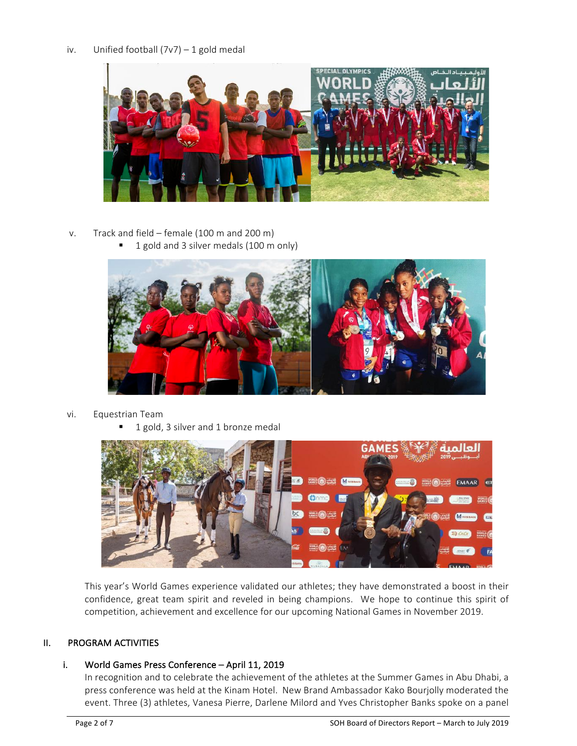## iv. Unified football  $(7v7) - 1$  gold medal



- v. Track and field female (100 m and 200 m)
	- 1 gold and 3 silver medals (100 m only)



- vi. Equestrian Team
	- 1 gold, 3 silver and 1 bronze medal



This year's World Games experience validated our athletes; they have demonstrated a boost in their confidence, great team spirit and reveled in being champions. We hope to continue this spirit of competition, achievement and excellence for our upcoming National Games in November 2019.

### II. PROGRAM ACTIVITIES

### i. World Games Press Conference - April 11, 2019

In recognition and to celebrate the achievement of the athletes at the Summer Games in Abu Dhabi, a press conference was held at the Kinam Hotel. New Brand Ambassador Kako Bourjolly moderated the event. Three (3) athletes, Vanesa Pierre, Darlene Milord and Yves Christopher Banks spoke on a panel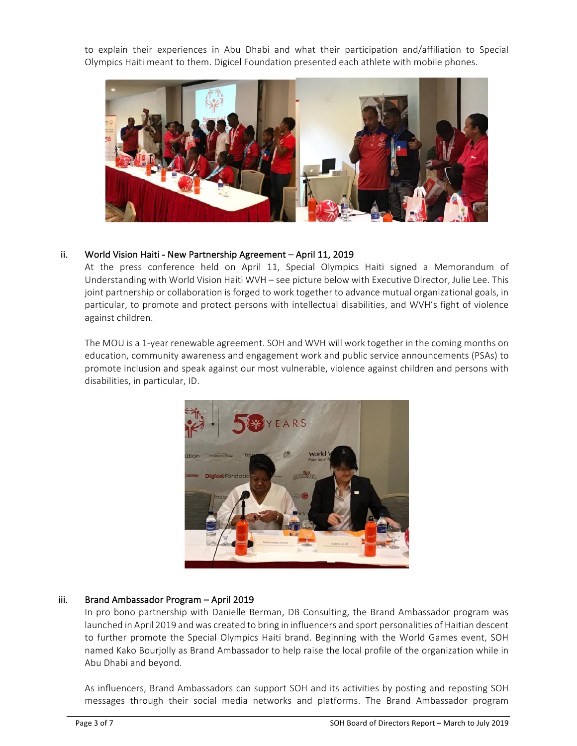to explain their experiences in Abu Dhabi and what their participation and/affiliation to Special Olympics Haiti meant to them. Digicel Foundation presented each athlete with mobile phones.



### ii. World Vision Haiti - New Partnership Agreement - April 11, 2019

At the press conference held on April 11, Special Olympics Haiti signed a Memorandum of Understanding with World Vision Haiti WVH - see picture below with Executive Director, Julie Lee. This joint partnership or collaboration is forged to work together to advance mutual organizational goals, in particular, to promote and protect persons with intellectual disabilities, and WVH's fight of violence against children.

The MOU is a 1-year renewable agreement. SOH and WVH will work together in the coming months on education, community awareness and engagement work and public service announcements (PSAs) to promote inclusion and speak against our most vulnerable, violence against children and persons with disabilities, in particular, ID.



## iii. Brand Ambassador Program - April 2019

In pro bono partnership with Danielle Berman, DB Consulting, the Brand Ambassador program was launched in April 2019 and was created to bring in influencers and sport personalities of Haitian descent to further promote the Special Olympics Haiti brand. Beginning with the World Games event, SOH named Kako Bourjolly as Brand Ambassador to help raise the local profile of the organization while in Abu Dhabi and beyond.

As influencers, Brand Ambassadors can support SOH and its activities by posting and reposting SOH messages through their social media networks and platforms. The Brand Ambassador program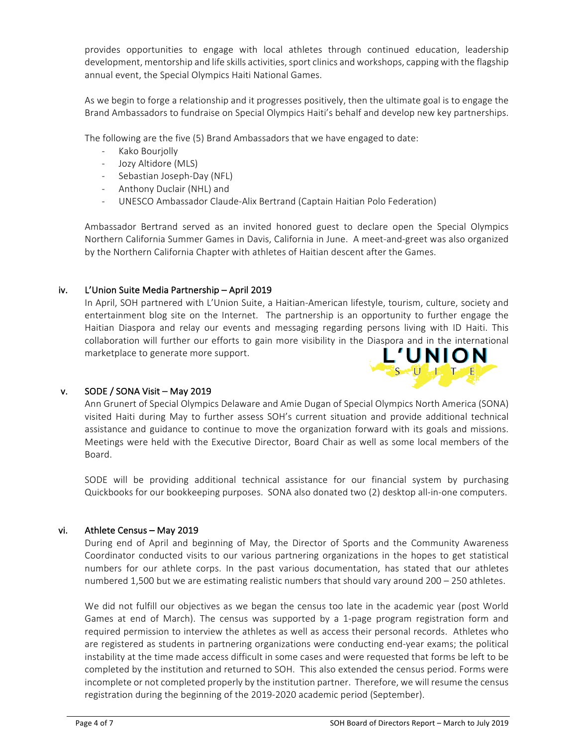provides opportunities to engage with local athletes through continued education, leadership development, mentorship and life skills activities, sport clinics and workshops, capping with the flagship annual event, the Special Olympics Haiti National Games.

As we begin to forge a relationship and it progresses positively, then the ultimate goal is to engage the Brand Ambassadors to fundraise on Special Olympics Haiti's behalf and develop new key partnerships.

The following are the five (5) Brand Ambassadors that we have engaged to date:

- Kako Bourjolly
- Jozy Altidore (MLS)
- Sebastian Joseph-Day (NFL)
- Anthony Duclair (NHL) and
- UNESCO Ambassador Claude-Alix Bertrand (Captain Haitian Polo Federation)

Ambassador Bertrand served as an invited honored guest to declare open the Special Olympics Northern California Summer Games in Davis, California in June. A meet-and-greet was also organized by the Northern California Chapter with athletes of Haitian descent after the Games.

### iv. L'Union Suite Media Partnership - April 2019

In April, SOH partnered with L'Union Suite, a Haitian-American lifestyle, tourism, culture, society and entertainment blog site on the Internet. The partnership is an opportunity to further engage the Haitian Diaspora and relay our events and messaging regarding persons living with ID Haiti. This collaboration will further our efforts to gain more visibility in the Diaspora and in the international marketplace to generate more support.



### v. SODE / SONA Visit – May 2019

Ann Grunert of Special Olympics Delaware and Amie Dugan of Special Olympics North America (SONA) visited Haiti during May to further assess SOH's current situation and provide additional technical assistance and guidance to continue to move the organization forward with its goals and missions. Meetings were held with the Executive Director, Board Chair as well as some local members of the Board. 

SODE will be providing additional technical assistance for our financial system by purchasing Quickbooks for our bookkeeping purposes. SONA also donated two (2) desktop all-in-one computers.

#### vi. Athlete Census – May 2019

During end of April and beginning of May, the Director of Sports and the Community Awareness Coordinator conducted visits to our various partnering organizations in the hopes to get statistical numbers for our athlete corps. In the past various documentation, has stated that our athletes numbered 1,500 but we are estimating realistic numbers that should vary around  $200 - 250$  athletes.

We did not fulfill our objectives as we began the census too late in the academic year (post World Games at end of March). The census was supported by a 1-page program registration form and required permission to interview the athletes as well as access their personal records. Athletes who are registered as students in partnering organizations were conducting end-year exams; the political instability at the time made access difficult in some cases and were requested that forms be left to be completed by the institution and returned to SOH. This also extended the census period. Forms were incomplete or not completed properly by the institution partner. Therefore, we will resume the census registration during the beginning of the 2019-2020 academic period (September).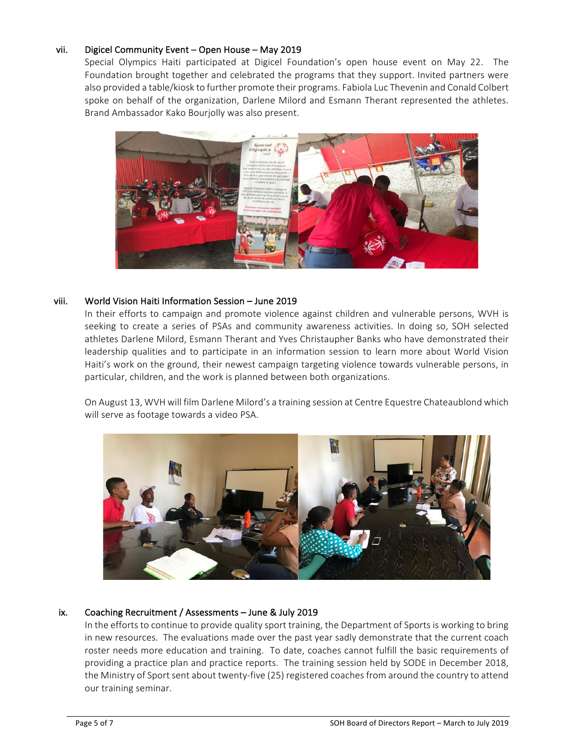### vii. Digicel Community Event – Open House – May 2019

Special Olympics Haiti participated at Digicel Foundation's open house event on May 22. The Foundation brought together and celebrated the programs that they support. Invited partners were also provided a table/kiosk to further promote their programs. Fabiola Luc Thevenin and Conald Colbert spoke on behalf of the organization, Darlene Milord and Esmann Therant represented the athletes. Brand Ambassador Kako Bourjolly was also present.



#### viii. World Vision Haiti Information Session – June 2019

In their efforts to campaign and promote violence against children and vulnerable persons, WVH is seeking to create a series of PSAs and community awareness activities. In doing so, SOH selected athletes Darlene Milord, Esmann Therant and Yves Christaupher Banks who have demonstrated their leadership qualities and to participate in an information session to learn more about World Vision Haiti's work on the ground, their newest campaign targeting violence towards vulnerable persons, in particular, children, and the work is planned between both organizations.

On August 13, WVH will film Darlene Milord's a training session at Centre Equestre Chateaublond which will serve as footage towards a video PSA.



### ix. Coaching Recruitment / Assessments - June & July 2019

In the efforts to continue to provide quality sport training, the Department of Sports is working to bring in new resources. The evaluations made over the past year sadly demonstrate that the current coach roster needs more education and training. To date, coaches cannot fulfill the basic requirements of providing a practice plan and practice reports. The training session held by SODE in December 2018, the Ministry of Sport sent about twenty-five (25) registered coaches from around the country to attend our training seminar.